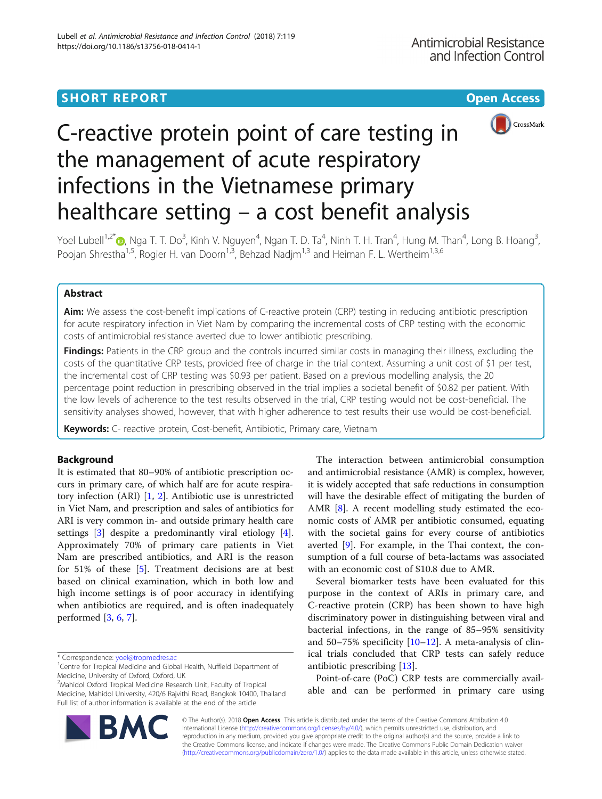## **SHORT REPORT CONSUMING THE CONSUMING OPEN ACCESS**



# C-reactive protein point of care testing in the management of acute respiratory infections in the Vietnamese primary healthcare setting – a cost benefit analysis

Yoel Lubell<sup>1[,](http://orcid.org/0000-0002-0237-1070)2\*</sup>៊●, Nga T. T. Do<sup>3</sup>, Kinh V. Nguyen<sup>4</sup>, Ngan T. D. Ta<sup>4</sup>, Ninh T. H. Tran<sup>4</sup>, Hung M. Than<sup>4</sup>, Long B. Hoang<sup>3</sup> , Poojan Shrestha<sup>1,5</sup>, Rogier H. van Doorn<sup>1,3</sup>, Behzad Nadjm<sup>1,3</sup> and Heiman F. L. Wertheim<sup>1,3,6</sup>

## Abstract

Aim: We assess the cost-benefit implications of C-reactive protein (CRP) testing in reducing antibiotic prescription for acute respiratory infection in Viet Nam by comparing the incremental costs of CRP testing with the economic costs of antimicrobial resistance averted due to lower antibiotic prescribing.

Findings: Patients in the CRP group and the controls incurred similar costs in managing their illness, excluding the costs of the quantitative CRP tests, provided free of charge in the trial context. Assuming a unit cost of \$1 per test, the incremental cost of CRP testing was \$0.93 per patient. Based on a previous modelling analysis, the 20 percentage point reduction in prescribing observed in the trial implies a societal benefit of \$0.82 per patient. With the low levels of adherence to the test results observed in the trial, CRP testing would not be cost-beneficial. The sensitivity analyses showed, however, that with higher adherence to test results their use would be cost-beneficial.

Keywords: C- reactive protein, Cost-benefit, Antibiotic, Primary care, Vietnam

## Background

It is estimated that 80–90% of antibiotic prescription occurs in primary care, of which half are for acute respiratory infection (ARI) [\[1](#page-4-0), [2](#page-4-0)]. Antibiotic use is unrestricted in Viet Nam, and prescription and sales of antibiotics for ARI is very common in- and outside primary health care settings [[3\]](#page-4-0) despite a predominantly viral etiology [\[4](#page-4-0)]. Approximately 70% of primary care patients in Viet Nam are prescribed antibiotics, and ARI is the reason for 51% of these [[5\]](#page-4-0). Treatment decisions are at best based on clinical examination, which in both low and high income settings is of poor accuracy in identifying when antibiotics are required, and is often inadequately performed [[3](#page-4-0), [6](#page-4-0), [7](#page-4-0)].

BA

The interaction between antimicrobial consumption and antimicrobial resistance (AMR) is complex, however, it is widely accepted that safe reductions in consumption will have the desirable effect of mitigating the burden of AMR [\[8](#page-4-0)]. A recent modelling study estimated the economic costs of AMR per antibiotic consumed, equating with the societal gains for every course of antibiotics averted [[9\]](#page-4-0). For example, in the Thai context, the consumption of a full course of beta-lactams was associated with an economic cost of \$10.8 due to AMR.

Several biomarker tests have been evaluated for this purpose in the context of ARIs in primary care, and C-reactive protein (CRP) has been shown to have high discriminatory power in distinguishing between viral and bacterial infections, in the range of 85–95% sensitivity and 50–75% specificity [[10](#page-4-0)–[12](#page-4-0)]. A meta-analysis of clinical trials concluded that CRP tests can safely reduce antibiotic prescribing [[13\]](#page-4-0).

Point-of-care (PoC) CRP tests are commercially available and can be performed in primary care using



<sup>\*</sup> Correspondence: [yoel@tropmedres.ac](mailto:yoel@tropmedres.ac) <sup>1</sup>

<sup>&</sup>lt;sup>1</sup> Centre for Tropical Medicine and Global Health, Nuffield Department of Medicine, University of Oxford, Oxford, UK

<sup>2</sup> Mahidol Oxford Tropical Medicine Research Unit, Faculty of Tropical Medicine, Mahidol University, 420/6 Rajvithi Road, Bangkok 10400, Thailand Full list of author information is available at the end of the article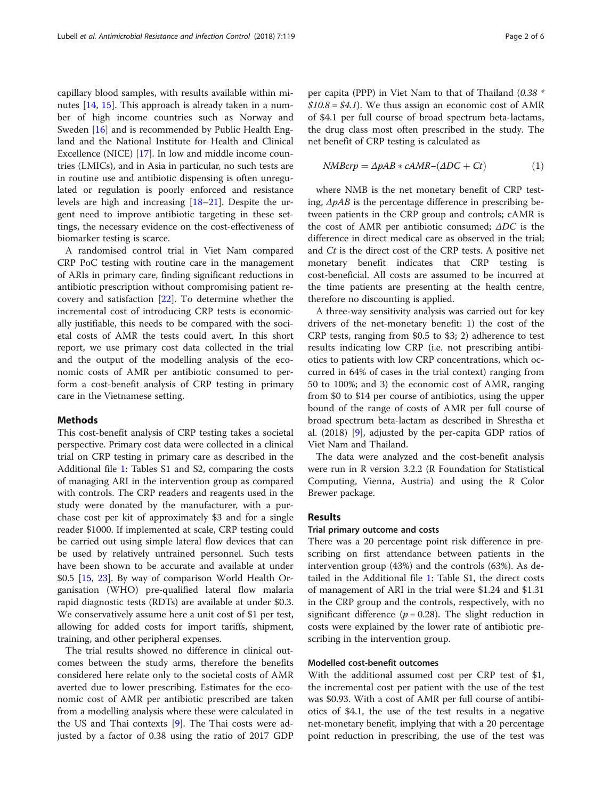capillary blood samples, with results available within minutes [\[14](#page-4-0), [15](#page-4-0)]. This approach is already taken in a number of high income countries such as Norway and Sweden [\[16](#page-4-0)] and is recommended by Public Health England and the National Institute for Health and Clinical Excellence (NICE) [[17](#page-4-0)]. In low and middle income countries (LMICs), and in Asia in particular, no such tests are in routine use and antibiotic dispensing is often unregulated or regulation is poorly enforced and resistance levels are high and increasing [[18](#page-4-0)–[21](#page-4-0)]. Despite the urgent need to improve antibiotic targeting in these settings, the necessary evidence on the cost-effectiveness of biomarker testing is scarce.

A randomised control trial in Viet Nam compared CRP PoC testing with routine care in the management of ARIs in primary care, finding significant reductions in antibiotic prescription without compromising patient recovery and satisfaction [[22](#page-4-0)]. To determine whether the incremental cost of introducing CRP tests is economically justifiable, this needs to be compared with the societal costs of AMR the tests could avert. In this short report, we use primary cost data collected in the trial and the output of the modelling analysis of the economic costs of AMR per antibiotic consumed to perform a cost-benefit analysis of CRP testing in primary care in the Vietnamese setting.

#### Methods

This cost-benefit analysis of CRP testing takes a societal perspective. Primary cost data were collected in a clinical trial on CRP testing in primary care as described in the Additional file [1](#page-3-0): Tables S1 and S2, comparing the costs of managing ARI in the intervention group as compared with controls. The CRP readers and reagents used in the study were donated by the manufacturer, with a purchase cost per kit of approximately \$3 and for a single reader \$1000. If implemented at scale, CRP testing could be carried out using simple lateral flow devices that can be used by relatively untrained personnel. Such tests have been shown to be accurate and available at under \$0.5 [[15,](#page-4-0) [23\]](#page-4-0). By way of comparison World Health Organisation (WHO) pre-qualified lateral flow malaria rapid diagnostic tests (RDTs) are available at under \$0.3. We conservatively assume here a unit cost of \$1 per test, allowing for added costs for import tariffs, shipment, training, and other peripheral expenses.

The trial results showed no difference in clinical outcomes between the study arms, therefore the benefits considered here relate only to the societal costs of AMR averted due to lower prescribing. Estimates for the economic cost of AMR per antibiotic prescribed are taken from a modelling analysis where these were calculated in the US and Thai contexts [\[9\]](#page-4-0). The Thai costs were adjusted by a factor of 0.38 using the ratio of 2017 GDP per capita (PPP) in Viet Nam to that of Thailand (0.38 \*  $$10.8 = $4.1$ ). We thus assign an economic cost of AMR of \$4.1 per full course of broad spectrum beta-lactams, the drug class most often prescribed in the study. The net benefit of CRP testing is calculated as

$$
NMBcrp = \Delta pAB * cAMR - (\Delta DC + Ct) \tag{1}
$$

where NMB is the net monetary benefit of CRP testing,  $\Delta pAB$  is the percentage difference in prescribing between patients in the CRP group and controls; cAMR is the cost of AMR per antibiotic consumed;  $\triangle DC$  is the difference in direct medical care as observed in the trial; and Ct is the direct cost of the CRP tests. A positive net monetary benefit indicates that CRP testing is cost-beneficial. All costs are assumed to be incurred at the time patients are presenting at the health centre, therefore no discounting is applied.

A three-way sensitivity analysis was carried out for key drivers of the net-monetary benefit: 1) the cost of the CRP tests, ranging from \$0.5 to \$3; 2) adherence to test results indicating low CRP (i.e. not prescribing antibiotics to patients with low CRP concentrations, which occurred in 64% of cases in the trial context) ranging from 50 to 100%; and 3) the economic cost of AMR, ranging from \$0 to \$14 per course of antibiotics, using the upper bound of the range of costs of AMR per full course of broad spectrum beta-lactam as described in Shrestha et al. (2018) [\[9](#page-4-0)], adjusted by the per-capita GDP ratios of Viet Nam and Thailand.

The data were analyzed and the cost-benefit analysis were run in R version 3.2.2 (R Foundation for Statistical Computing, Vienna, Austria) and using the R Color Brewer package.

## Results

#### Trial primary outcome and costs

There was a 20 percentage point risk difference in prescribing on first attendance between patients in the intervention group (43%) and the controls (63%). As detailed in the Additional file [1:](#page-3-0) Table S1, the direct costs of management of ARI in the trial were \$1.24 and \$1.31 in the CRP group and the controls, respectively, with no significant difference ( $p = 0.28$ ). The slight reduction in costs were explained by the lower rate of antibiotic prescribing in the intervention group.

## Modelled cost-benefit outcomes

With the additional assumed cost per CRP test of \$1, the incremental cost per patient with the use of the test was \$0.93. With a cost of AMR per full course of antibiotics of \$4.1, the use of the test results in a negative net-monetary benefit, implying that with a 20 percentage point reduction in prescribing, the use of the test was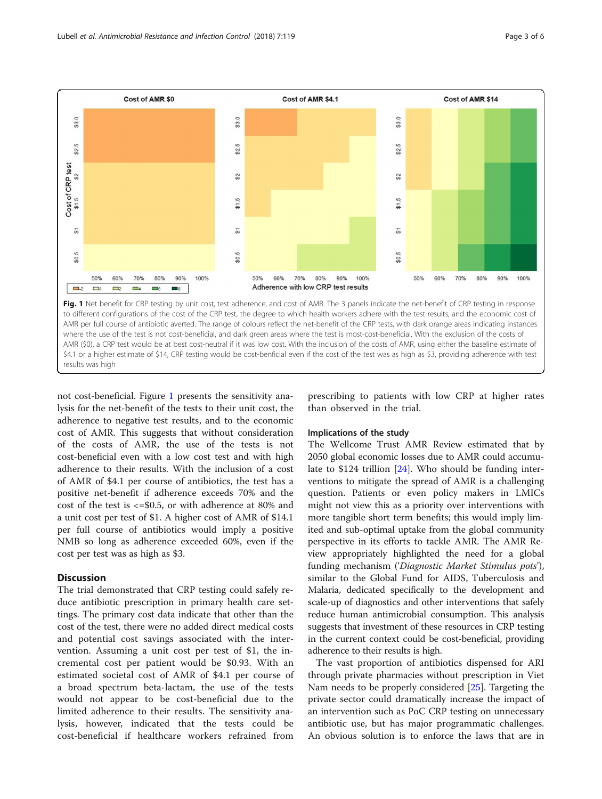

not cost-beneficial. Figure 1 presents the sensitivity analysis for the net-benefit of the tests to their unit cost, the adherence to negative test results, and to the economic cost of AMR. This suggests that without consideration of the costs of AMR, the use of the tests is not cost-beneficial even with a low cost test and with high adherence to their results. With the inclusion of a cost of AMR of \$4.1 per course of antibiotics, the test has a positive net-benefit if adherence exceeds 70% and the cost of the test is  $\langle 50.5, 0.05 \rangle$  and cost of the test is  $\langle 50.5, 0.05 \rangle$ a unit cost per test of \$1. A higher cost of AMR of \$14.1 per full course of antibiotics would imply a positive NMB so long as adherence exceeded 60%, even if the cost per test was as high as \$3.

## **Discussion**

The trial demonstrated that CRP testing could safely reduce antibiotic prescription in primary health care settings. The primary cost data indicate that other than the cost of the test, there were no added direct medical costs and potential cost savings associated with the intervention. Assuming a unit cost per test of \$1, the incremental cost per patient would be \$0.93. With an estimated societal cost of AMR of \$4.1 per course of a broad spectrum beta-lactam, the use of the tests would not appear to be cost-beneficial due to the limited adherence to their results. The sensitivity analysis, however, indicated that the tests could be cost-beneficial if healthcare workers refrained from prescribing to patients with low CRP at higher rates than observed in the trial.

## Implications of the study

The Wellcome Trust AMR Review estimated that by 2050 global economic losses due to AMR could accumulate to \$124 trillion [\[24\]](#page-4-0). Who should be funding interventions to mitigate the spread of AMR is a challenging question. Patients or even policy makers in LMICs might not view this as a priority over interventions with more tangible short term benefits; this would imply limited and sub-optimal uptake from the global community perspective in its efforts to tackle AMR. The AMR Review appropriately highlighted the need for a global funding mechanism ('Diagnostic Market Stimulus pots'), similar to the Global Fund for AIDS, Tuberculosis and Malaria, dedicated specifically to the development and scale-up of diagnostics and other interventions that safely reduce human antimicrobial consumption. This analysis suggests that investment of these resources in CRP testing in the current context could be cost-beneficial, providing adherence to their results is high.

The vast proportion of antibiotics dispensed for ARI through private pharmacies without prescription in Viet Nam needs to be properly considered [[25\]](#page-4-0). Targeting the private sector could dramatically increase the impact of an intervention such as PoC CRP testing on unnecessary antibiotic use, but has major programmatic challenges. An obvious solution is to enforce the laws that are in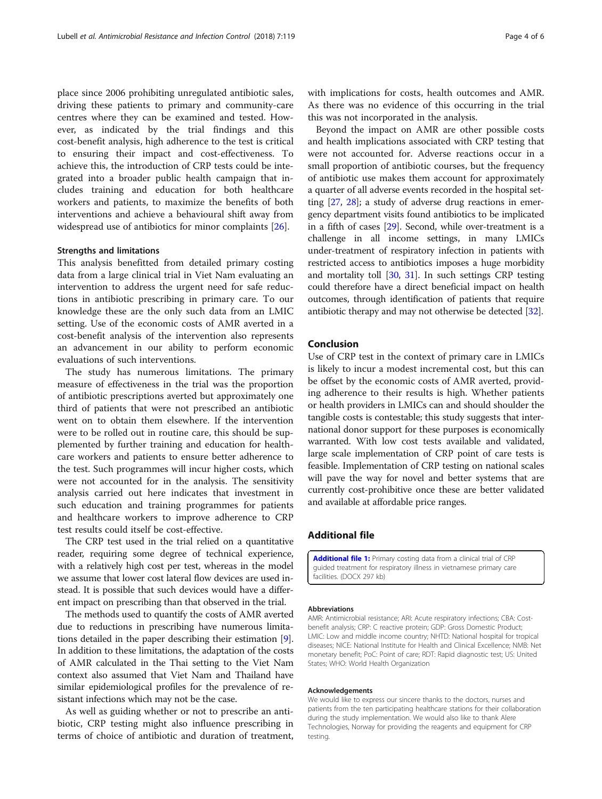<span id="page-3-0"></span>place since 2006 prohibiting unregulated antibiotic sales, driving these patients to primary and community-care centres where they can be examined and tested. However, as indicated by the trial findings and this cost-benefit analysis, high adherence to the test is critical to ensuring their impact and cost-effectiveness. To achieve this, the introduction of CRP tests could be integrated into a broader public health campaign that includes training and education for both healthcare workers and patients, to maximize the benefits of both interventions and achieve a behavioural shift away from widespread use of antibiotics for minor complaints [\[26](#page-4-0)].

## Strengths and limitations

This analysis benefitted from detailed primary costing data from a large clinical trial in Viet Nam evaluating an intervention to address the urgent need for safe reductions in antibiotic prescribing in primary care. To our knowledge these are the only such data from an LMIC setting. Use of the economic costs of AMR averted in a cost-benefit analysis of the intervention also represents an advancement in our ability to perform economic evaluations of such interventions.

The study has numerous limitations. The primary measure of effectiveness in the trial was the proportion of antibiotic prescriptions averted but approximately one third of patients that were not prescribed an antibiotic went on to obtain them elsewhere. If the intervention were to be rolled out in routine care, this should be supplemented by further training and education for healthcare workers and patients to ensure better adherence to the test. Such programmes will incur higher costs, which were not accounted for in the analysis. The sensitivity analysis carried out here indicates that investment in such education and training programmes for patients and healthcare workers to improve adherence to CRP test results could itself be cost-effective.

The CRP test used in the trial relied on a quantitative reader, requiring some degree of technical experience, with a relatively high cost per test, whereas in the model we assume that lower cost lateral flow devices are used instead. It is possible that such devices would have a different impact on prescribing than that observed in the trial.

The methods used to quantify the costs of AMR averted due to reductions in prescribing have numerous limitations detailed in the paper describing their estimation [[9](#page-4-0)]. In addition to these limitations, the adaptation of the costs of AMR calculated in the Thai setting to the Viet Nam context also assumed that Viet Nam and Thailand have similar epidemiological profiles for the prevalence of resistant infections which may not be the case.

As well as guiding whether or not to prescribe an antibiotic, CRP testing might also influence prescribing in terms of choice of antibiotic and duration of treatment,

with implications for costs, health outcomes and AMR. As there was no evidence of this occurring in the trial this was not incorporated in the analysis.

Beyond the impact on AMR are other possible costs and health implications associated with CRP testing that were not accounted for. Adverse reactions occur in a small proportion of antibiotic courses, but the frequency of antibiotic use makes them account for approximately a quarter of all adverse events recorded in the hospital setting [\[27,](#page-4-0) [28](#page-4-0)]; a study of adverse drug reactions in emergency department visits found antibiotics to be implicated in a fifth of cases [[29](#page-4-0)]. Second, while over-treatment is a challenge in all income settings, in many LMICs under-treatment of respiratory infection in patients with restricted access to antibiotics imposes a huge morbidity and mortality toll [[30](#page-4-0), [31](#page-5-0)]. In such settings CRP testing could therefore have a direct beneficial impact on health outcomes, through identification of patients that require antibiotic therapy and may not otherwise be detected [[32\]](#page-5-0).

## Conclusion

Use of CRP test in the context of primary care in LMICs is likely to incur a modest incremental cost, but this can be offset by the economic costs of AMR averted, providing adherence to their results is high. Whether patients or health providers in LMICs can and should shoulder the tangible costs is contestable; this study suggests that international donor support for these purposes is economically warranted. With low cost tests available and validated, large scale implementation of CRP point of care tests is feasible. Implementation of CRP testing on national scales will pave the way for novel and better systems that are currently cost-prohibitive once these are better validated and available at affordable price ranges.

## Additional file

[Additional file 1:](https://doi.org/10.1186/s13756-018-0414-1) Primary costing data from a clinical trial of CRP guided treatment for respiratory illness in vietnamese primary care facilities. (DOCX 297 kb)

#### Abbreviations

AMR: Antimicrobial resistance; ARI: Acute respiratory infections; CBA: Costbenefit analysis; CRP: C reactive protein; GDP: Gross Domestic Product; LMIC: Low and middle income country; NHTD: National hospital for tropical diseases; NICE: National Institute for Health and Clinical Excellence; NMB: Net monetary benefit; PoC: Point of care; RDT: Rapid diagnostic test; US: United States; WHO: World Health Organization

#### Acknowledgements

We would like to express our sincere thanks to the doctors, nurses and patients from the ten participating healthcare stations for their collaboration during the study implementation. We would also like to thank Alere Technologies, Norway for providing the reagents and equipment for CRP testing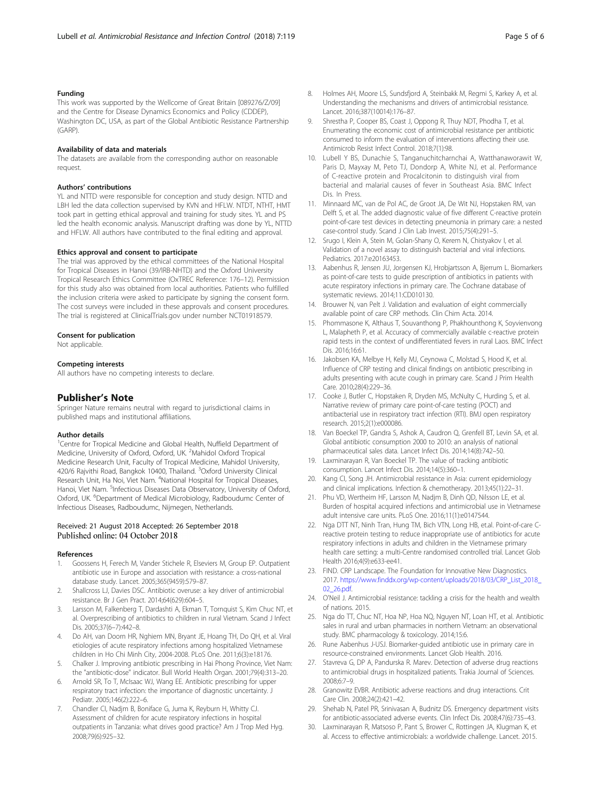## <span id="page-4-0"></span>Funding

This work was supported by the Wellcome of Great Britain [089276/Z/09] and the Centre for Disease Dynamics Economics and Policy (CDDEP), Washington DC, USA, as part of the Global Antibiotic Resistance Partnership (GARP).

#### Availability of data and materials

The datasets are available from the corresponding author on reasonable request.

#### Authors' contributions

YL and NTTD were responsible for conception and study design. NTTD and LBH led the data collection supervised by KVN and HFLW. NTDT, NTHT, HMT took part in getting ethical approval and training for study sites. YL and PS led the health economic analysis. Manuscript drafting was done by YL, NTTD and HFLW. All authors have contributed to the final editing and approval.

#### Ethics approval and consent to participate

The trial was approved by the ethical committees of the National Hospital for Tropical Diseases in Hanoi (39/IRB-NHTD) and the Oxford University Tropical Research Ethics Committee (OxTREC Reference: 176–12). Permission for this study also was obtained from local authorities. Patients who fulfilled the inclusion criteria were asked to participate by signing the consent form. The cost surveys were included in these approvals and consent procedures. The trial is registered at ClinicalTrials.gov under number NCT01918579.

## Consent for publication

Not applicable.

#### Competing interests

All authors have no competing interests to declare.

#### Publisher's Note

Springer Nature remains neutral with regard to jurisdictional claims in published maps and institutional affiliations.

#### Author details

<sup>1</sup>Centre for Tropical Medicine and Global Health, Nuffield Department of Medicine, University of Oxford, Oxford, UK. <sup>2</sup>Mahidol Oxford Tropical Medicine Research Unit, Faculty of Tropical Medicine, Mahidol University, 420/6 Rajvithi Road, Bangkok 10400, Thailand. <sup>3</sup>Oxford University Clinical Research Unit, Ha Noi, Viet Nam. <sup>4</sup>National Hospital for Tropical Diseases, Hanoi, Viet Nam. <sup>5</sup>Infectious Diseases Data Observatory, University of Oxford, Oxford, UK. <sup>6</sup>Department of Medical Microbiology, Radboudumc Center of Infectious Diseases, Radboudumc, Nijmegen, Netherlands.

# Received: 21 August 2018 Accepted: 26 September 2018

#### References

- 1. Goossens H, Ferech M, Vander Stichele R, Elseviers M, Group EP. Outpatient antibiotic use in Europe and association with resistance: a cross-national database study. Lancet. 2005;365(9459):579–87.
- Shallcross LJ, Davies DSC. Antibiotic overuse: a key driver of antimicrobial resistance. Br J Gen Pract. 2014;64(629):604–5.
- 3. Larsson M, Falkenberg T, Dardashti A, Ekman T, Tornquist S, Kim Chuc NT, et al. Overprescribing of antibiotics to children in rural Vietnam. Scand J Infect Dis. 2005;37(6–7):442–8.
- 4. Do AH, van Doorn HR, Nghiem MN, Bryant JE, Hoang TH, Do QH, et al. Viral etiologies of acute respiratory infections among hospitalized Vietnamese children in Ho Chi Minh City, 2004-2008. PLoS One. 2011;6(3):e18176.
- 5. Chalker J. Improving antibiotic prescribing in Hai Phong Province, Viet Nam: the "antibiotic-dose" indicator. Bull World Health Organ. 2001;79(4):313–20.
- 6. Arnold SR, To T, McIsaac WJ, Wang EE. Antibiotic prescribing for upper respiratory tract infection: the importance of diagnostic uncertainty. J Pediatr. 2005;146(2):222–6.
- 7. Chandler CI, Nadjm B, Boniface G, Juma K, Reyburn H, Whitty CJ. Assessment of children for acute respiratory infections in hospital outpatients in Tanzania: what drives good practice? Am J Trop Med Hyg. 2008;79(6):925–32.
- 8. Holmes AH, Moore LS, Sundsfjord A, Steinbakk M, Regmi S, Karkey A, et al. Understanding the mechanisms and drivers of antimicrobial resistance. Lancet. 2016;387(10014):176–87.
- 9. Shrestha P, Cooper BS, Coast J, Oppong R, Thuy NDT, Phodha T, et al. Enumerating the economic cost of antimicrobial resistance per antibiotic consumed to inform the evaluation of interventions affecting their use. Antimicrob Resist Infect Control. 2018;7(1):98.
- 10. Lubell Y BS, Dunachie S, Tanganuchitcharnchai A, Watthanaworawit W, Paris D, Mayxay M, Peto TJ, Dondorp A, White NJ, et al. Performance of C-reactive protein and Procalcitonin to distinguish viral from bacterial and malarial causes of fever in Southeast Asia. BMC Infect Dis. In Press.
- 11. Minnaard MC, van de Pol AC, de Groot JA, De Wit NJ, Hopstaken RM, van Delft S, et al. The added diagnostic value of five different C-reactive protein point-of-care test devices in detecting pneumonia in primary care: a nested case-control study. Scand J Clin Lab Invest. 2015;75(4):291–5.
- 12. Srugo I, Klein A, Stein M, Golan-Shany O, Kerem N, Chistyakov I, et al. Validation of a novel assay to distinguish bacterial and viral infections. Pediatrics. 2017:e20163453.
- 13. Aabenhus R, Jensen JU, Jorgensen KJ, Hrobjartsson A, Bjerrum L. Biomarkers as point-of-care tests to guide prescription of antibiotics in patients with acute respiratory infections in primary care. The Cochrane database of systematic reviews. 2014;11:CD010130.
- 14. Brouwer N, van Pelt J. Validation and evaluation of eight commercially available point of care CRP methods. Clin Chim Acta. 2014.
- 15. Phommasone K, Althaus T, Souvanthong P, Phakhounthong K, Soyvienvong L, Malapheth P, et al. Accuracy of commercially available c-reactive protein rapid tests in the context of undifferentiated fevers in rural Laos. BMC Infect Dis. 2016;16:61.
- 16. Jakobsen KA, Melbye H, Kelly MJ, Ceynowa C, Molstad S, Hood K, et al. Influence of CRP testing and clinical findings on antibiotic prescribing in adults presenting with acute cough in primary care. Scand J Prim Health Care. 2010;28(4):229–36.
- 17. Cooke J, Butler C, Hopstaken R, Dryden MS, McNulty C, Hurding S, et al. Narrative review of primary care point-of-care testing (POCT) and antibacterial use in respiratory tract infection (RTI). BMJ open respiratory research. 2015;2(1):e000086.
- 18. Van Boeckel TP, Gandra S, Ashok A, Caudron Q, Grenfell BT, Levin SA, et al. Global antibiotic consumption 2000 to 2010: an analysis of national pharmaceutical sales data. Lancet Infect Dis. 2014;14(8):742–50.
- 19. Laxminarayan R, Van Boeckel TP. The value of tracking antibiotic consumption. Lancet Infect Dis. 2014;14(5):360–1.
- 20. Kang CI, Song JH. Antimicrobial resistance in Asia: current epidemiology and clinical implications. Infection & chemotherapy. 2013;45(1):22–31.
- 21. Phu VD, Wertheim HF, Larsson M, Nadjm B, Dinh QD, Nilsson LE, et al. Burden of hospital acquired infections and antimicrobial use in Vietnamese adult intensive care units. PLoS One. 2016;11(1):e0147544.
- 22. Nga DTT NT, Ninh Tran, Hung TM, Bich VTN, Long HB, et.al. Point-of-care Creactive protein testing to reduce inappropriate use of antibiotics for acute respiratory infections in adults and children in the Vietnamese primary health care setting: a multi-Centre randomised controlled trial. Lancet Glob Health 2016;4(9):e633-ee41.
- 23. FIND. CRP Landscape. The Foundation for Innovative New Diagnostics. 2017. [https://www.finddx.org/wp-content/uploads/2018/03/CRP\\_List\\_2018\\_](https://www.finddx.org/wp-content/uploads/2018/03/CRP_List_2018_02_26.pdf) [02\\_26.pdf.](https://www.finddx.org/wp-content/uploads/2018/03/CRP_List_2018_02_26.pdf)
- 24. O'Neil J. Antimicrobial resistance: tackling a crisis for the health and wealth of nations. 2015.
- 25. Nga do TT, Chuc NT, Hoa NP, Hoa NQ, Nguyen NT, Loan HT, et al. Antibiotic sales in rural and urban pharmacies in northern Vietnam: an observational study. BMC pharmacology & toxicology. 2014;15:6.
- 26. Rune Aabenhus J-USJ. Biomarker-guided antibiotic use in primary care in resource-constrained environments. Lancet Glob Health. 2016.
- 27. Stavreva G, DP A, Pandurska R. Marev. Detection of adverse drug reactions to antimicrobial drugs in hospitalized patients. Trakia Journal of Sciences. 2008;6:7–9.
- 28. Granowitz EVBR. Antibiotic adverse reactions and drug interactions. Crit Care Clin. 2008;24(2):421–42.
- Shehab N, Patel PR, Srinivasan A, Budnitz DS. Emergency department visits for antibiotic-associated adverse events. Clin Infect Dis. 2008;47(6):735–43.
- 30. Laxminarayan R, Matsoso P, Pant S, Brower C, Rottingen JA, Klugman K, et al. Access to effective antimicrobials: a worldwide challenge. Lancet. 2015.